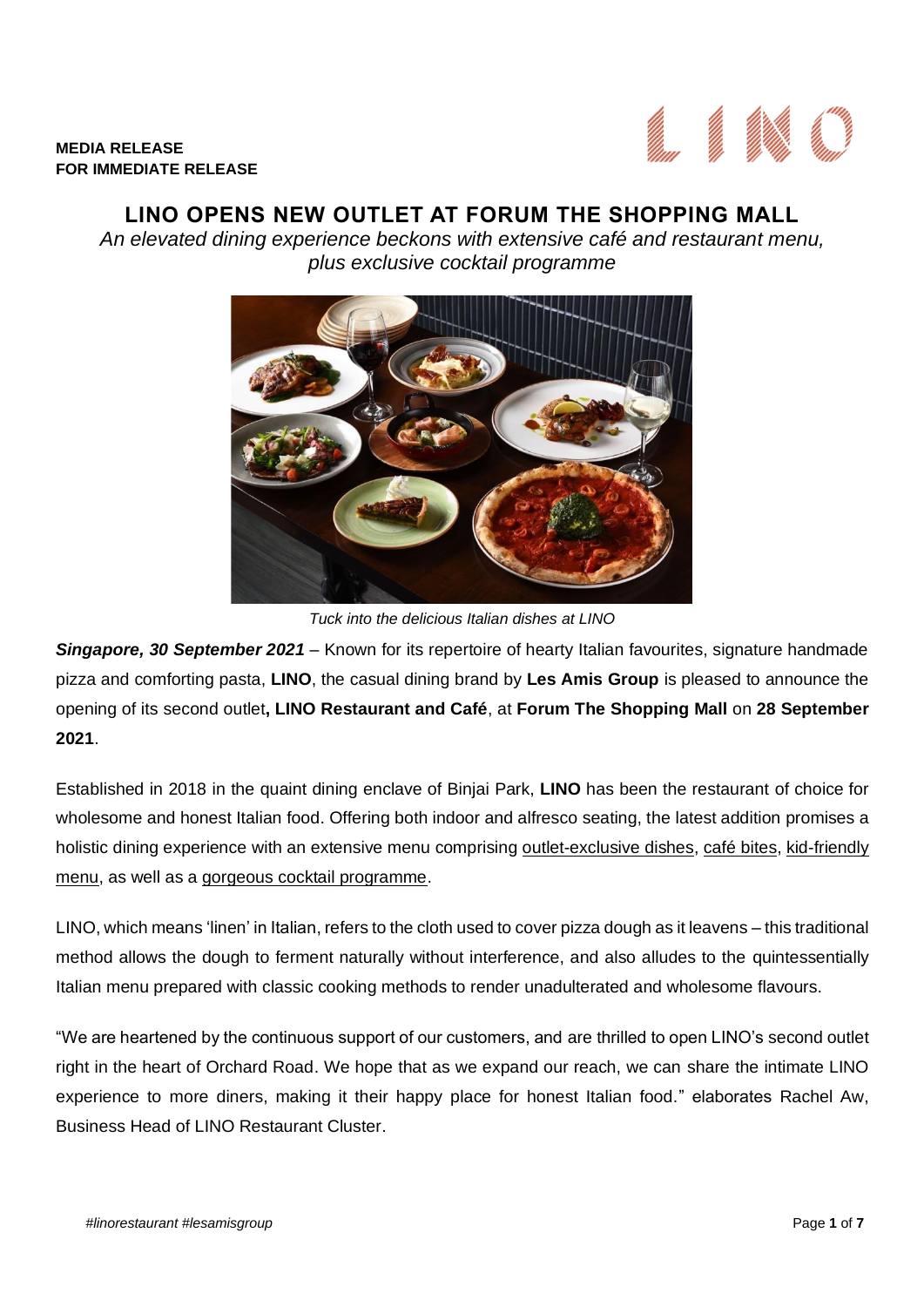

# **LINO OPENS NEW OUTLET AT FORUM THE SHOPPING MALL**

*An elevated dining experience beckons with extensive café and restaurant menu, plus exclusive cocktail programme*



*Tuck into the delicious Italian dishes at LINO* 

*Singapore, 30 September 2021 –* Known for its repertoire of hearty Italian favourites, signature handmade pizza and comforting pasta, **LINO**, the casual dining brand by **Les Amis Group** is pleased to announce the opening of its second outlet**, LINO Restaurant and Café**, at **Forum The Shopping Mall** on **28 September 2021**.

Established in 2018 in the quaint dining enclave of Binjai Park, **LINO** has been the restaurant of choice for wholesome and honest Italian food. Offering both indoor and alfresco seating, the latest addition promises a holistic dining experience with an extensive menu comprising outlet-exclusive dishes, café bites, kid-friendly menu, as well as a gorgeous cocktail programme.

LINO, which means 'linen' in Italian, refers to the cloth used to cover pizza dough as it leavens – this traditional method allows the dough to ferment naturally without interference, and also alludes to the quintessentially Italian menu prepared with classic cooking methods to render unadulterated and wholesome flavours.

"We are heartened by the continuous support of our customers, and are thrilled to open LINO's second outlet right in the heart of Orchard Road. We hope that as we expand our reach, we can share the intimate LINO experience to more diners, making it their happy place for honest Italian food." elaborates Rachel Aw, Business Head of LINO Restaurant Cluster.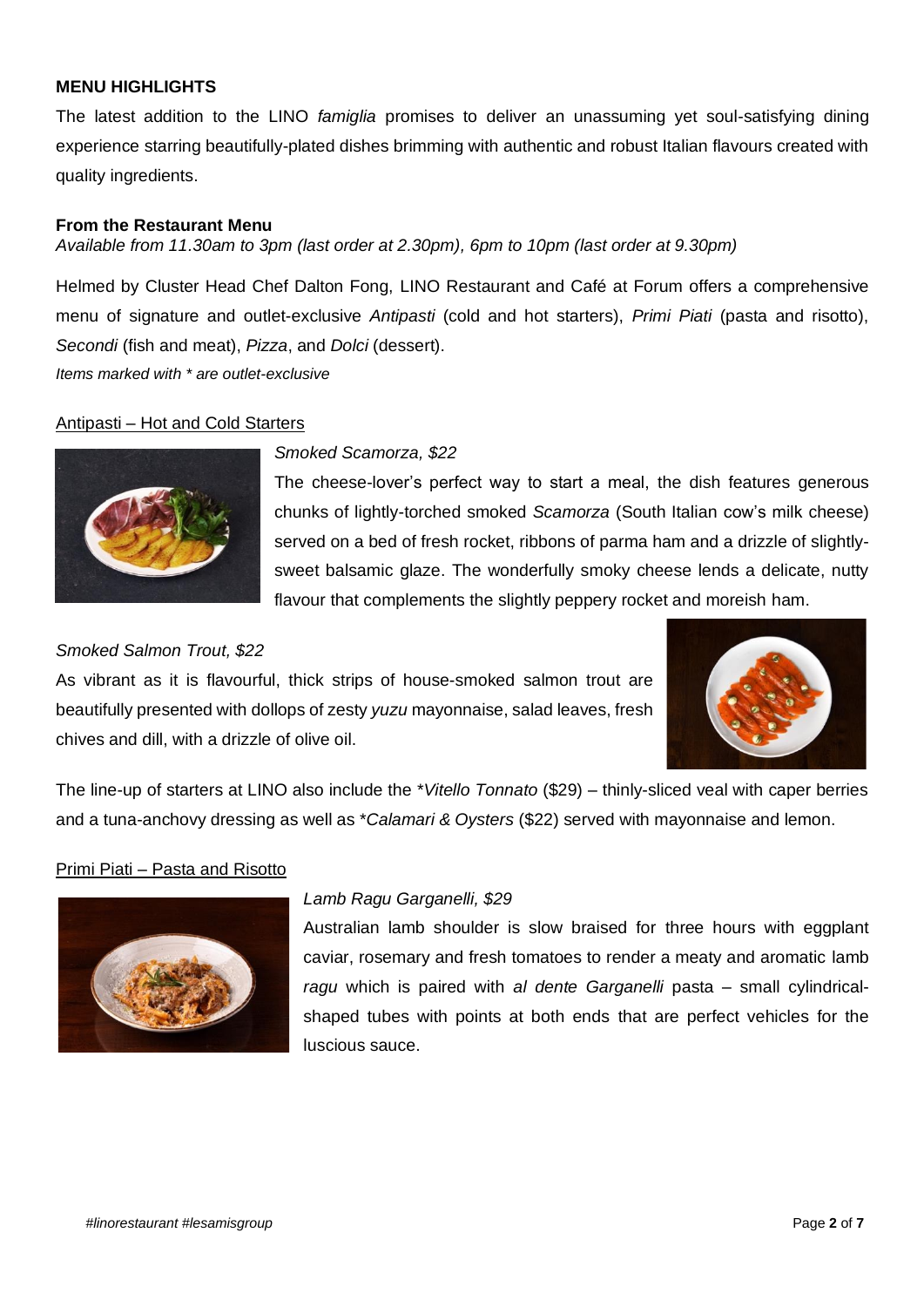### **MENU HIGHLIGHTS**

The latest addition to the LINO *famiglia* promises to deliver an unassuming yet soul-satisfying dining experience starring beautifully-plated dishes brimming with authentic and robust Italian flavours created with quality ingredients.

### **From the Restaurant Menu**

*Available from 11.30am to 3pm (last order at 2.30pm), 6pm to 10pm (last order at 9.30pm)*

Helmed by Cluster Head Chef Dalton Fong, LINO Restaurant and Café at Forum offers a comprehensive menu of signature and outlet-exclusive *Antipasti* (cold and hot starters), *Primi Piati* (pasta and risotto), *Secondi* (fish and meat), *Pizza*, and *Dolci* (dessert). *Items marked with \* are outlet-exclusive*

Antipasti – Hot and Cold Starters



### *Smoked Scamorza, \$22*

The cheese-lover's perfect way to start a meal, the dish features generous chunks of lightly-torched smoked *Scamorza* (South Italian cow's milk cheese) served on a bed of fresh rocket, ribbons of parma ham and a drizzle of slightlysweet balsamic glaze. The wonderfully smoky cheese lends a delicate, nutty flavour that complements the slightly peppery rocket and moreish ham.

#### *Smoked Salmon Trout, \$22*

As vibrant as it is flavourful, thick strips of house-smoked salmon trout are beautifully presented with dollops of zesty *yuzu* mayonnaise, salad leaves, fresh chives and dill, with a drizzle of olive oil.



The line-up of starters at LINO also include the \**Vitello Tonnato* (\$29) – thinly-sliced veal with caper berries and a tuna-anchovy dressing as well as \**Calamari & Oysters* (\$22) served with mayonnaise and lemon.

### Primi Piati – Pasta and Risotto



### *Lamb Ragu Garganelli, \$29*

Australian lamb shoulder is slow braised for three hours with eggplant caviar, rosemary and fresh tomatoes to render a meaty and aromatic lamb *ragu* which is paired with *al dente Garganelli* pasta – small cylindricalshaped tubes with points at both ends that are perfect vehicles for the luscious sauce.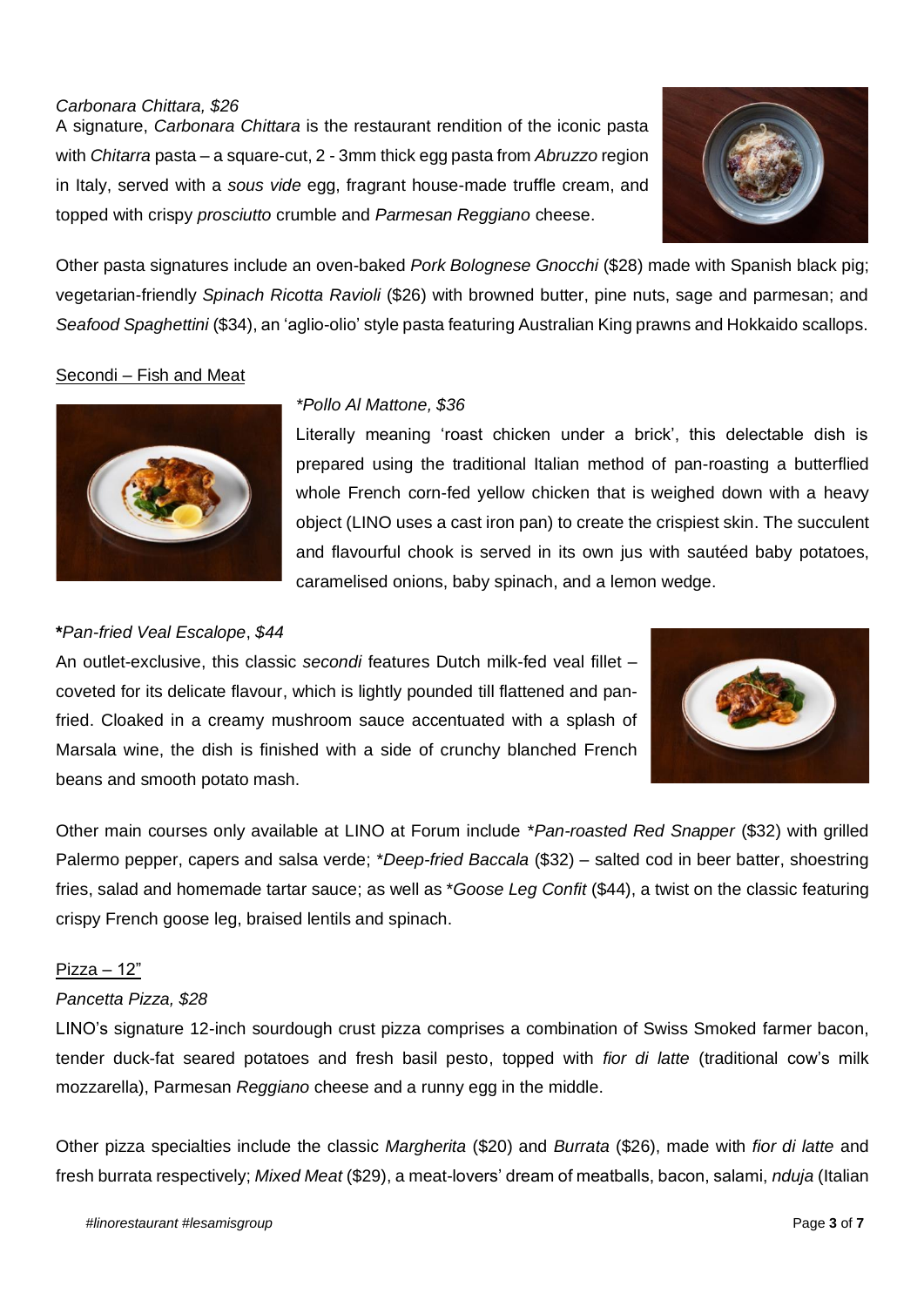# *Carbonara Chittara, \$26*

A signature, *Carbonara Chittara* is the restaurant rendition of the iconic pasta with *Chitarra* pasta – a square-cut, 2 - 3mm thick egg pasta from *Abruzzo* region in Italy, served with a *sous vide* egg, fragrant house-made truffle cream, and topped with crispy *prosciutto* crumble and *Parmesan Reggiano* cheese.



Other pasta signatures include an oven-baked *Pork Bolognese Gnocchi* (\$28) made with Spanish black pig; vegetarian-friendly *Spinach Ricotta Ravioli* (\$26) with browned butter, pine nuts, sage and parmesan; and *Seafood Spaghettini* (\$34), an 'aglio-olio' style pasta featuring Australian King prawns and Hokkaido scallops.

### Secondi – Fish and Meat



### *\*Pollo Al Mattone, \$36*

Literally meaning 'roast chicken under a brick', this delectable dish is prepared using the traditional Italian method of pan-roasting a butterflied whole French corn-fed yellow chicken that is weighed down with a heavy object (LINO uses a cast iron pan) to create the crispiest skin. The succulent and flavourful chook is served in its own jus with sautéed baby potatoes, caramelised onions, baby spinach, and a lemon wedge.

# **\****Pan-fried Veal Escalope*, *\$44*

An outlet-exclusive, this classic *secondi* features Dutch milk-fed veal fillet – coveted for its delicate flavour, which is lightly pounded till flattened and panfried. Cloaked in a creamy mushroom sauce accentuated with a splash of Marsala wine, the dish is finished with a side of crunchy blanched French beans and smooth potato mash.



Other main courses only available at LINO at Forum include \**Pan-roasted Red Snapper* (\$32) with grilled Palermo pepper, capers and salsa verde; \**Deep-fried Baccala* (\$32) – salted cod in beer batter, shoestring fries, salad and homemade tartar sauce; as well as \**Goose Leg Confit* (\$44), a twist on the classic featuring crispy French goose leg, braised lentils and spinach.

### Pizza – 12"

### *Pancetta Pizza, \$28*

LINO's signature 12-inch sourdough crust pizza comprises a combination of Swiss Smoked farmer bacon, tender duck-fat seared potatoes and fresh basil pesto, topped with *fior di latte* (traditional cow's milk mozzarella), Parmesan *Reggiano* cheese and a runny egg in the middle.

Other pizza specialties include the classic *Margherita* (\$20) and *Burrata* (\$26), made with *fior di latte* and fresh burrata respectively; *Mixed Meat* (\$29), a meat-lovers' dream of meatballs, bacon, salami, *nduja* (Italian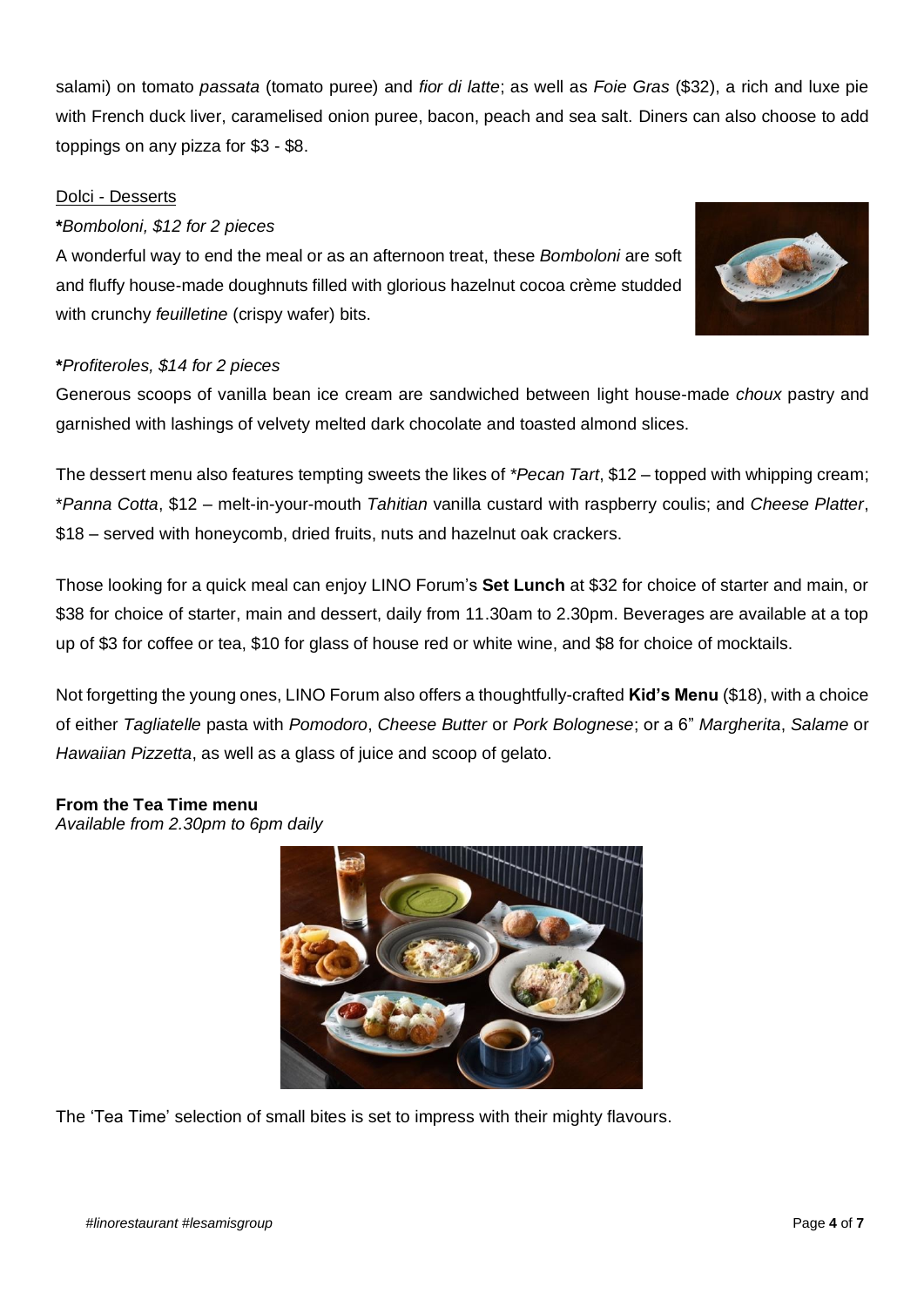salami) on tomato *passata* (tomato puree) and *fior di latte*; as well as *Foie Gras* (\$32), a rich and luxe pie with French duck liver, caramelised onion puree, bacon, peach and sea salt. Diners can also choose to add toppings on any pizza for \$3 - \$8.

### Dolci - Desserts

### **\****Bomboloni, \$12 for 2 pieces*

A wonderful way to end the meal or as an afternoon treat, these *Bomboloni* are soft and fluffy house-made doughnuts filled with glorious hazelnut cocoa crème studded with crunchy *feuilletine* (crispy wafer) bits.



### **\****Profiteroles, \$14 for 2 pieces*

Generous scoops of vanilla bean ice cream are sandwiched between light house-made *choux* pastry and garnished with lashings of velvety melted dark chocolate and toasted almond slices.

The dessert menu also features tempting sweets the likes of *\*Pecan Tart*, \$12 – topped with whipping cream; \**Panna Cotta*, \$12 – melt-in-your-mouth *Tahitian* vanilla custard with raspberry coulis; and *Cheese Platter*, \$18 – served with honeycomb, dried fruits, nuts and hazelnut oak crackers.

Those looking for a quick meal can enjoy LINO Forum's **Set Lunch** at \$32 for choice of starter and main, or \$38 for choice of starter, main and dessert, daily from 11.30am to 2.30pm. Beverages are available at a top up of \$3 for coffee or tea, \$10 for glass of house red or white wine, and \$8 for choice of mocktails.

Not forgetting the young ones, LINO Forum also offers a thoughtfully-crafted **Kid's Menu** (\$18), with a choice of either *Tagliatelle* pasta with *Pomodoro*, *Cheese Butter* or *Pork Bolognese*; or a 6" *Margherita*, *Salame* or *Hawaiian Pizzetta*, as well as a glass of juice and scoop of gelato.

### **From the Tea Time menu**

*Available from 2.30pm to 6pm daily*



The 'Tea Time' selection of small bites is set to impress with their mighty flavours.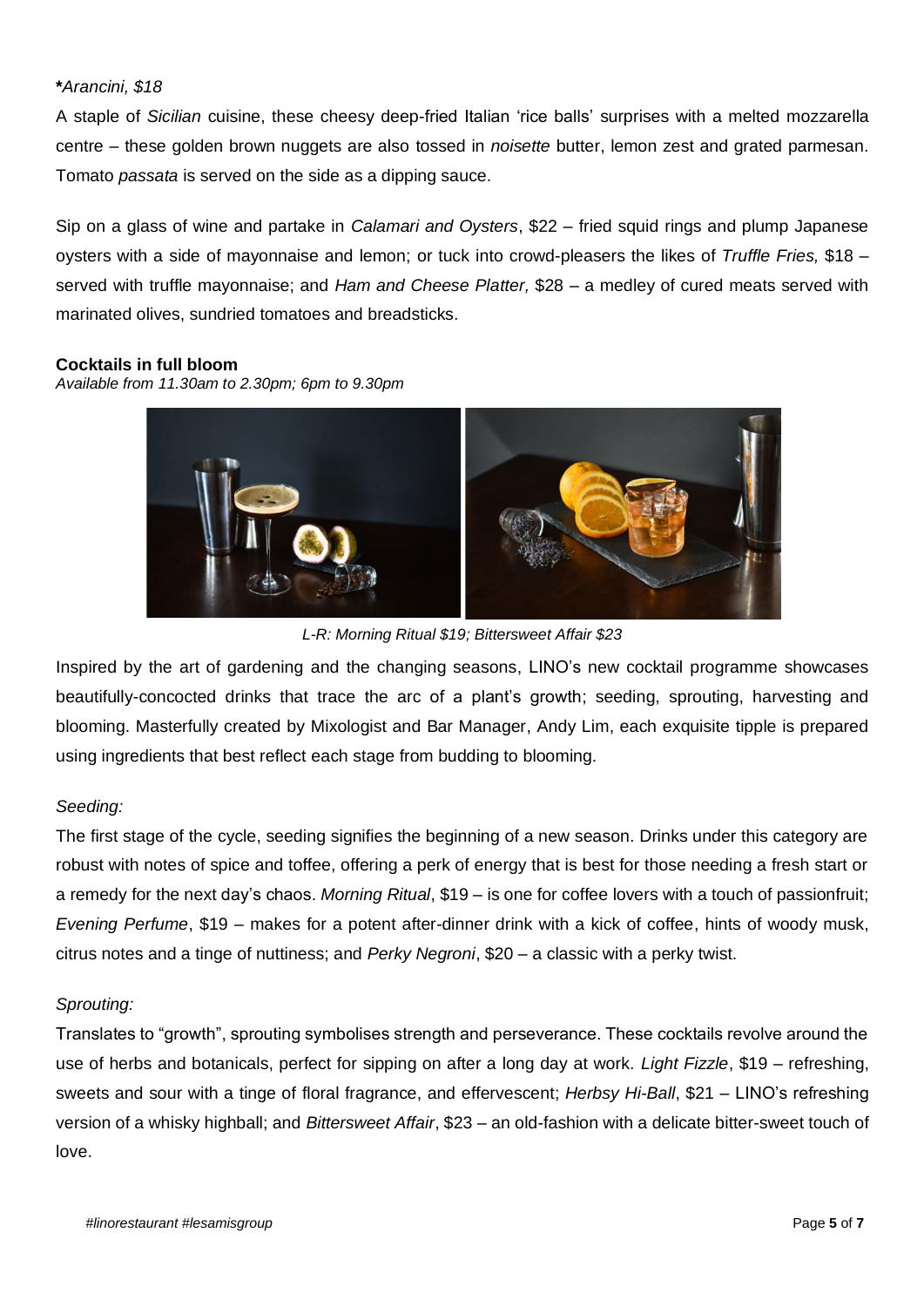### **\****Arancini, \$18*

A staple of *Sicilian* cuisine, these cheesy deep-fried Italian 'rice balls' surprises with a melted mozzarella centre – these golden brown nuggets are also tossed in *noisette* butter, lemon zest and grated parmesan. Tomato *passata* is served on the side as a dipping sauce.

Sip on a glass of wine and partake in *Calamari and Oysters*, \$22 *–* fried squid rings and plump Japanese oysters with a side of mayonnaise and lemon; or tuck into crowd-pleasers the likes of *Truffle Fries,* \$18 *–* served with truffle mayonnaise; and *Ham and Cheese Platter,* \$28 *–* a medley of cured meats served with marinated olives, sundried tomatoes and breadsticks.

#### **Cocktails in full bloom**

*Available from 11.30am to 2.30pm; 6pm to 9.30pm* 



*L-R: Morning Ritual \$19; Bittersweet Affair \$23*

Inspired by the art of gardening and the changing seasons, LINO's new cocktail programme showcases beautifully-concocted drinks that trace the arc of a plant's growth; seeding, sprouting, harvesting and blooming. Masterfully created by Mixologist and Bar Manager, Andy Lim, each exquisite tipple is prepared using ingredients that best reflect each stage from budding to blooming.

### *Seeding:*

The first stage of the cycle, seeding signifies the beginning of a new season. Drinks under this category are robust with notes of spice and toffee, offering a perk of energy that is best for those needing a fresh start or a remedy for the next day's chaos. *Morning Ritual*, \$19 – is one for coffee lovers with a touch of passionfruit; *Evening Perfume*, \$19 – makes for a potent after-dinner drink with a kick of coffee, hints of woody musk, citrus notes and a tinge of nuttiness; and *Perky Negroni*, \$20 – a classic with a perky twist.

# *Sprouting:*

Translates to "growth", sprouting symbolises strength and perseverance. These cocktails revolve around the use of herbs and botanicals, perfect for sipping on after a long day at work. *Light Fizzle*, \$19 – refreshing, sweets and sour with a tinge of floral fragrance, and effervescent; *Herbsy Hi-Ball*, \$21 – LINO's refreshing version of a whisky highball; and *Bittersweet Affair*, \$23 – an old-fashion with a delicate bitter-sweet touch of love.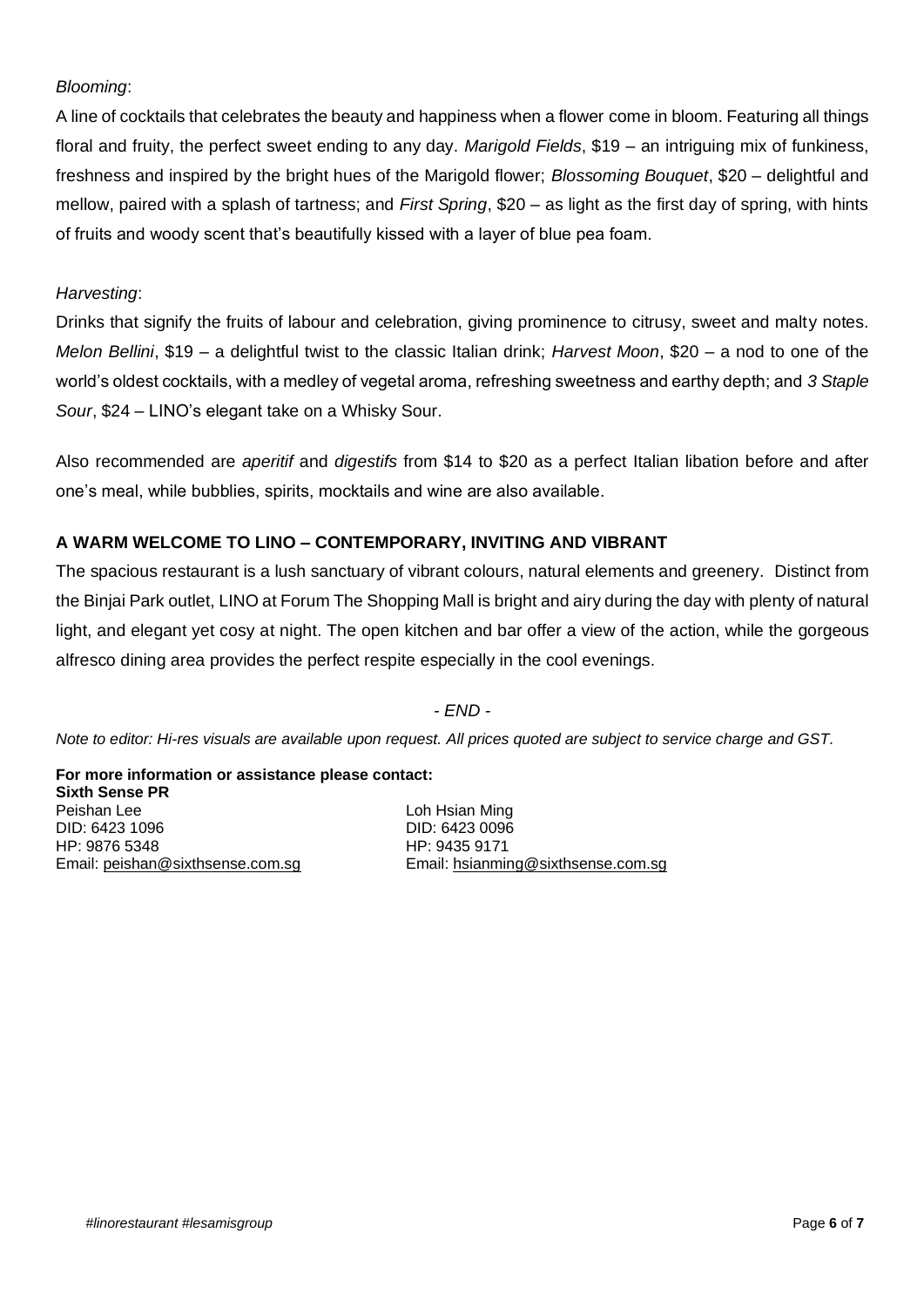### *Blooming*:

A line of cocktails that celebrates the beauty and happiness when a flower come in bloom. Featuring all things floral and fruity, the perfect sweet ending to any day. *Marigold Fields*, \$19 – an intriguing mix of funkiness, freshness and inspired by the bright hues of the Marigold flower; *Blossoming Bouquet*, \$20 – delightful and mellow, paired with a splash of tartness; and *First Spring*, \$20 – as light as the first day of spring, with hints of fruits and woody scent that's beautifully kissed with a layer of blue pea foam.

### *Harvesting*:

Drinks that signify the fruits of labour and celebration, giving prominence to citrusy, sweet and malty notes. *Melon Bellini*, \$19 – a delightful twist to the classic Italian drink; *Harvest Moon*, \$20 – a nod to one of the world's oldest cocktails, with a medley of vegetal aroma, refreshing sweetness and earthy depth; and *3 Staple Sour*, \$24 – LINO's elegant take on a Whisky Sour.

Also recommended are *aperitif* and *digestifs* from \$14 to \$20 as a perfect Italian libation before and after one's meal, while bubblies, spirits, mocktails and wine are also available.

# **A WARM WELCOME TO LINO – CONTEMPORARY, INVITING AND VIBRANT**

The spacious restaurant is a lush sanctuary of vibrant colours, natural elements and greenery. Distinct from the Binjai Park outlet, LINO at Forum The Shopping Mall is bright and airy during the day with plenty of natural light, and elegant yet cosy at night. The open kitchen and bar offer a view of the action, while the gorgeous alfresco dining area provides the perfect respite especially in the cool evenings.

#### *- END -*

*Note to editor: Hi-res visuals are available upon request. All prices quoted are subject to service charge and GST.*

**For more information or assistance please contact: Sixth Sense PR** Peishan Lee DID: 6423 1096 HP: 9876 5348 Email: [peishan@sixthsense.com.sg](mailto:peishan@sixthsense.com.sg)

Loh Hsian Ming DID: 6423 0096 HP: 9435 9171 Email: [hsianming@sixthsense.com.sg](mailto:hsianming@sixthsense.com.sg)